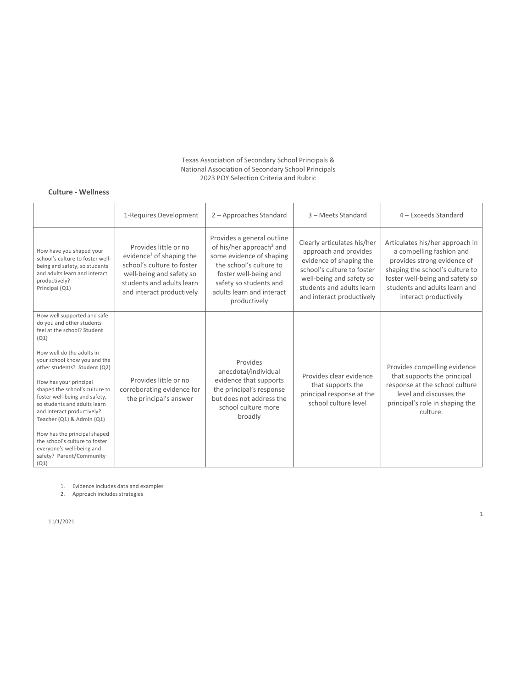#### Texas Association of Secondary School Principals & National Association of Secondary School Principals 2023 POY Selection Criteria and Rubric

### **Culture - Wellness**

|                                                                                                                                                                                                                                                                                                                                                                                                                                                                                                                         | 1-Requires Development                                                                                                                                                            | 2 - Approaches Standard                                                                                                                                                                                                   | 3 - Meets Standard                                                                                                                                                                                  | 4 - Exceeds Standard                                                                                                                                                                                                       |
|-------------------------------------------------------------------------------------------------------------------------------------------------------------------------------------------------------------------------------------------------------------------------------------------------------------------------------------------------------------------------------------------------------------------------------------------------------------------------------------------------------------------------|-----------------------------------------------------------------------------------------------------------------------------------------------------------------------------------|---------------------------------------------------------------------------------------------------------------------------------------------------------------------------------------------------------------------------|-----------------------------------------------------------------------------------------------------------------------------------------------------------------------------------------------------|----------------------------------------------------------------------------------------------------------------------------------------------------------------------------------------------------------------------------|
| How have you shaped your<br>school's culture to foster well-<br>being and safety, so students<br>and adults learn and interact<br>productively?<br>Principal (Q1)                                                                                                                                                                                                                                                                                                                                                       | Provides little or no<br>evidence <sup>1</sup> of shaping the<br>school's culture to foster<br>well-being and safety so<br>students and adults learn<br>and interact productively | Provides a general outline<br>of his/her approach <sup>2</sup> and<br>some evidence of shaping<br>the school's culture to<br>foster well-being and<br>safety so students and<br>adults learn and interact<br>productively | Clearly articulates his/her<br>approach and provides<br>evidence of shaping the<br>school's culture to foster<br>well-being and safety so<br>students and adults learn<br>and interact productively | Articulates his/her approach in<br>a compelling fashion and<br>provides strong evidence of<br>shaping the school's culture to<br>foster well-being and safety so<br>students and adults learn and<br>interact productively |
| How well supported and safe<br>do you and other students<br>feel at the school? Student<br>(Q1)<br>How well do the adults in<br>your school know you and the<br>other students? Student (Q2)<br>How has your principal<br>shaped the school's culture to<br>foster well-being and safety,<br>so students and adults learn<br>and interact productively?<br>Teacher (Q1) & Admin (Q1)<br>How has the principal shaped<br>the school's culture to foster<br>everyone's well-being and<br>safety? Parent/Community<br>(Q1) | Provides little or no<br>corroborating evidence for<br>the principal's answer                                                                                                     | Provides<br>anecdotal/individual<br>evidence that supports<br>the principal's response<br>but does not address the<br>school culture more<br>broadly                                                                      | Provides clear evidence<br>that supports the<br>principal response at the<br>school culture level                                                                                                   | Provides compelling evidence<br>that supports the principal<br>response at the school culture<br>level and discusses the<br>principal's role in shaping the<br>culture.                                                    |

1. Evidence includes data and examples

2. Approach includes strategies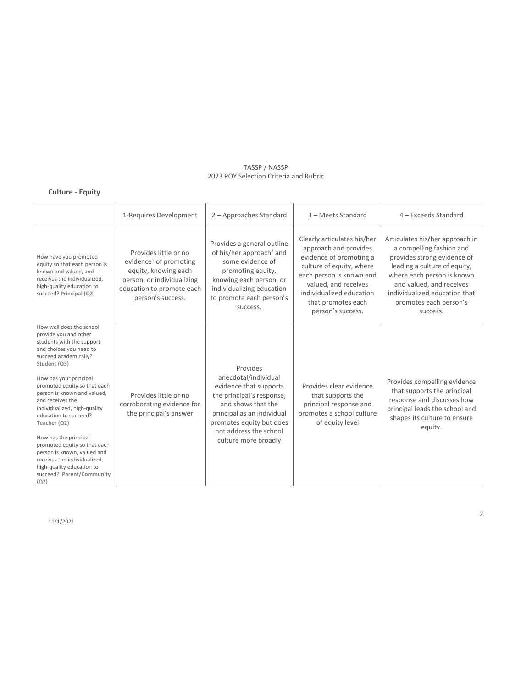# **Culture - Equity**

|                                                                                                                                                                                                                                                                                                                                                                                                                                                                                                                                    | 1-Requires Development                                                                                                                                              | 2 - Approaches Standard                                                                                                                                                                                                   | 3 - Meets Standard                                                                                                                                                                                                                     | 4 - Exceeds Standard                                                                                                                                                                                                                                        |
|------------------------------------------------------------------------------------------------------------------------------------------------------------------------------------------------------------------------------------------------------------------------------------------------------------------------------------------------------------------------------------------------------------------------------------------------------------------------------------------------------------------------------------|---------------------------------------------------------------------------------------------------------------------------------------------------------------------|---------------------------------------------------------------------------------------------------------------------------------------------------------------------------------------------------------------------------|----------------------------------------------------------------------------------------------------------------------------------------------------------------------------------------------------------------------------------------|-------------------------------------------------------------------------------------------------------------------------------------------------------------------------------------------------------------------------------------------------------------|
| How have you promoted<br>equity so that each person is<br>known and valued, and<br>receives the individualized.<br>high-quality education to<br>succeed? Principal (Q2)                                                                                                                                                                                                                                                                                                                                                            | Provides little or no<br>evidence <sup>1</sup> of promoting<br>equity, knowing each<br>person, or individualizing<br>education to promote each<br>person's success. | Provides a general outline<br>of his/her approach <sup>2</sup> and<br>some evidence of<br>promoting equity,<br>knowing each person, or<br>individualizing education<br>to promote each person's<br>success.               | Clearly articulates his/her<br>approach and provides<br>evidence of promoting a<br>culture of equity, where<br>each person is known and<br>valued, and receives<br>individualized education<br>that promotes each<br>person's success. | Articulates his/her approach in<br>a compelling fashion and<br>provides strong evidence of<br>leading a culture of equity,<br>where each person is known<br>and valued, and receives<br>individualized education that<br>promotes each person's<br>success. |
| How well does the school<br>provide you and other<br>students with the support<br>and choices you need to<br>succeed academically?<br>Student (Q3)<br>How has your principal<br>promoted equity so that each<br>person is known and valued,<br>and receives the<br>individualized, high-quality<br>education to succeed?<br>Teacher (Q2)<br>How has the principal<br>promoted equity so that each<br>person is known, valued and<br>receives the individualized,<br>high-quality education to<br>succeed? Parent/Community<br>(Q2) | Provides little or no<br>corroborating evidence for<br>the principal's answer                                                                                       | Provides<br>anecdotal/individual<br>evidence that supports<br>the principal's response,<br>and shows that the<br>principal as an individual<br>promotes equity but does<br>not address the school<br>culture more broadly | Provides clear evidence<br>that supports the<br>principal response and<br>promotes a school culture<br>of equity level                                                                                                                 | Provides compelling evidence<br>that supports the principal<br>response and discusses how<br>principal leads the school and<br>shapes its culture to ensure<br>equity.                                                                                      |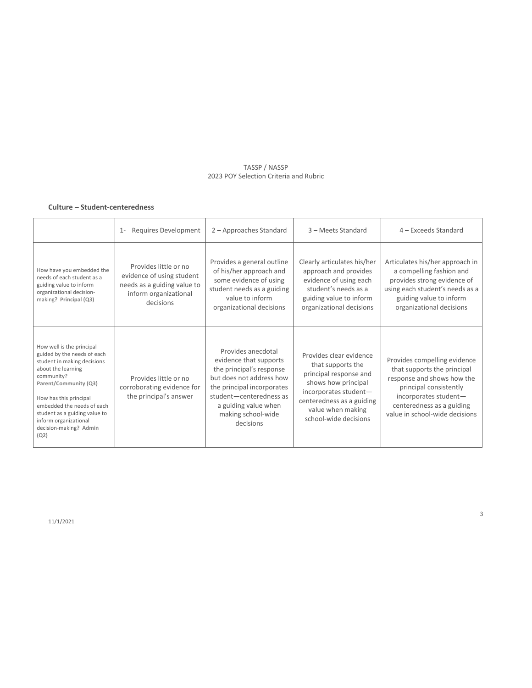### **Culture – Student-centeredness**

|                                                                                                                                                                                                                                                                                                          | Requires Development<br>$1 -$                                                                                           | 2 - Approaches Standard                                                                                                                                                                                                  | 3 - Meets Standard                                                                                                                                                                                | 4 - Exceeds Standard                                                                                                                                                                                        |
|----------------------------------------------------------------------------------------------------------------------------------------------------------------------------------------------------------------------------------------------------------------------------------------------------------|-------------------------------------------------------------------------------------------------------------------------|--------------------------------------------------------------------------------------------------------------------------------------------------------------------------------------------------------------------------|---------------------------------------------------------------------------------------------------------------------------------------------------------------------------------------------------|-------------------------------------------------------------------------------------------------------------------------------------------------------------------------------------------------------------|
| How have you embedded the<br>needs of each student as a<br>guiding value to inform<br>organizational decision-<br>making? Principal (Q3)                                                                                                                                                                 | Provides little or no<br>evidence of using student<br>needs as a guiding value to<br>inform organizational<br>decisions | Provides a general outline<br>of his/her approach and<br>some evidence of using<br>student needs as a guiding<br>value to inform<br>organizational decisions                                                             | Clearly articulates his/her<br>approach and provides<br>evidence of using each<br>student's needs as a<br>guiding value to inform<br>organizational decisions                                     | Articulates his/her approach in<br>a compelling fashion and<br>provides strong evidence of<br>using each student's needs as a<br>guiding value to inform<br>organizational decisions                        |
| How well is the principal<br>guided by the needs of each<br>student in making decisions<br>about the learning<br>community?<br>Parent/Community (Q3)<br>How has this principal<br>embedded the needs of each<br>student as a guiding value to<br>inform organizational<br>decision-making? Admin<br>(Q2) | Provides little or no<br>corroborating evidence for<br>the principal's answer                                           | Provides anecdotal<br>evidence that supports<br>the principal's response<br>but does not address how<br>the principal incorporates<br>student-centeredness as<br>a guiding value when<br>making school-wide<br>decisions | Provides clear evidence<br>that supports the<br>principal response and<br>shows how principal<br>incorporates student-<br>centeredness as a guiding<br>value when making<br>school-wide decisions | Provides compelling evidence<br>that supports the principal<br>response and shows how the<br>principal consistently<br>incorporates student-<br>centeredness as a guiding<br>value in school-wide decisions |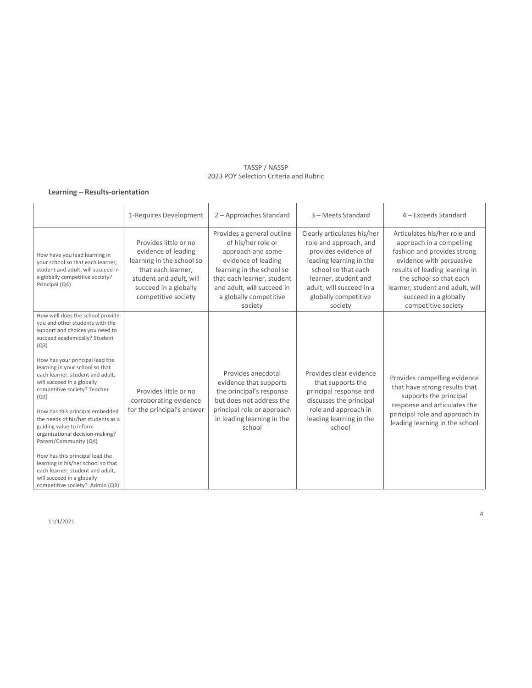### **Learning – Results-orientation**

|                                                                                                                                                                                                                                                                                                                                                                                                                                                                                                                                                                                                                                                                               | 1-Requires Development                                                                                                                                                     | 2 - Approaches Standard                                                                                                                                                                                                    | 3 - Meets Standard                                                                                                                                                                                                     | 4 - Exceeds Standard                                                                                                                                                                                                                                                 |
|-------------------------------------------------------------------------------------------------------------------------------------------------------------------------------------------------------------------------------------------------------------------------------------------------------------------------------------------------------------------------------------------------------------------------------------------------------------------------------------------------------------------------------------------------------------------------------------------------------------------------------------------------------------------------------|----------------------------------------------------------------------------------------------------------------------------------------------------------------------------|----------------------------------------------------------------------------------------------------------------------------------------------------------------------------------------------------------------------------|------------------------------------------------------------------------------------------------------------------------------------------------------------------------------------------------------------------------|----------------------------------------------------------------------------------------------------------------------------------------------------------------------------------------------------------------------------------------------------------------------|
| How have you lead learning in<br>your school so that each learner,<br>student and adult, will succeed in<br>a globally competitive society?<br>Principal (Q4)                                                                                                                                                                                                                                                                                                                                                                                                                                                                                                                 | Provides little or no<br>evidence of leading<br>learning in the school so<br>that each learner,<br>student and adult, will<br>succeed in a globally<br>competitive society | Provides a general outline<br>of his/her role or<br>approach and some<br>evidence of leading<br>learning in the school so<br>that each learner, student<br>and adult, will succeed in<br>a globally competitive<br>society | Clearly articulates his/her<br>role and approach, and<br>provides evidence of<br>leading learning in the<br>school so that each<br>learner, student and<br>adult, will succeed in a<br>globally competitive<br>society | Articulates his/her role and<br>approach in a compelling<br>fashion and provides strong<br>evidence with persuasive<br>results of leading learning in<br>the school so that each<br>learner, student and adult, will<br>succeed in a globally<br>competitive society |
| How well does the school provide<br>you and other students with the<br>support and choices you need to<br>succeed academically? Student<br>(Q3)<br>How has your principal lead the<br>learning in your school so that<br>each learner, student and adult,<br>will succeed in a globally<br>competitive society? Teacher<br>(Q3)<br>How has this principal embedded<br>the needs of his/her students as a<br>guiding value to inform<br>organizational decision-making?<br>Parent/Community (Q4)<br>How has this principal lead the<br>learning in his/her school so that<br>each learner, student and adult,<br>will succeed in a globally<br>competitive society? Admin (Q3) | Provides little or no<br>corroborating evidence<br>for the principal's answer                                                                                              | Provides anecdotal<br>evidence that supports<br>the principal's response<br>but does not address the<br>principal role or approach<br>in leading learning in the<br>school                                                 | Provides clear evidence<br>that supports the<br>principal response and<br>discusses the principal<br>role and approach in<br>leading learning in the<br>school                                                         | Provides compelling evidence<br>that have strong results that<br>supports the principal<br>response and articulates the<br>principal role and approach in<br>leading learning in the school                                                                          |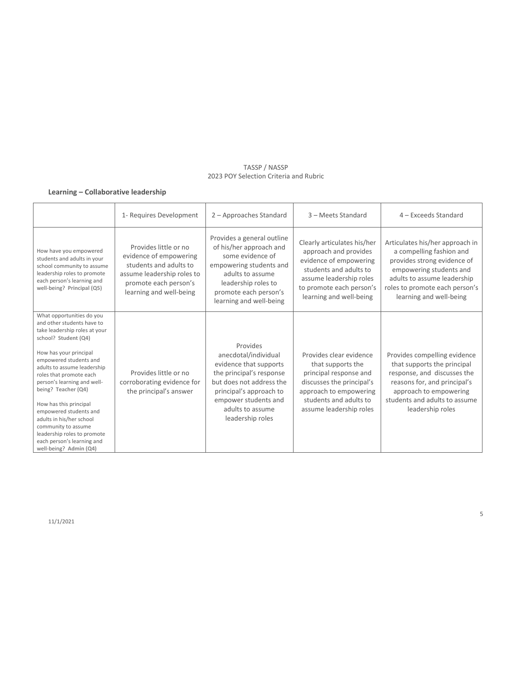# **Learning – Collaborative leadership**

|                                                                                                                                                                                                                                                                                                                                                                                                                                                                                    | 1- Requires Development                                                                                                                                     | 2 - Approaches Standard                                                                                                                                                                                       | 3 - Meets Standard                                                                                                                                                                         | 4 - Exceeds Standard                                                                                                                                                                                              |
|------------------------------------------------------------------------------------------------------------------------------------------------------------------------------------------------------------------------------------------------------------------------------------------------------------------------------------------------------------------------------------------------------------------------------------------------------------------------------------|-------------------------------------------------------------------------------------------------------------------------------------------------------------|---------------------------------------------------------------------------------------------------------------------------------------------------------------------------------------------------------------|--------------------------------------------------------------------------------------------------------------------------------------------------------------------------------------------|-------------------------------------------------------------------------------------------------------------------------------------------------------------------------------------------------------------------|
| How have you empowered<br>students and adults in your<br>school community to assume<br>leadership roles to promote<br>each person's learning and<br>well-being? Principal (Q5)                                                                                                                                                                                                                                                                                                     | Provides little or no<br>evidence of empowering<br>students and adults to<br>assume leadership roles to<br>promote each person's<br>learning and well-being | Provides a general outline<br>of his/her approach and<br>some evidence of<br>empowering students and<br>adults to assume<br>leadership roles to<br>promote each person's<br>learning and well-being           | Clearly articulates his/her<br>approach and provides<br>evidence of empowering<br>students and adults to<br>assume leadership roles<br>to promote each person's<br>learning and well-being | Articulates his/her approach in<br>a compelling fashion and<br>provides strong evidence of<br>empowering students and<br>adults to assume leadership<br>roles to promote each person's<br>learning and well-being |
| What opportunities do you<br>and other students have to<br>take leadership roles at your<br>school? Student (Q4)<br>How has your principal<br>empowered students and<br>adults to assume leadership<br>roles that promote each<br>person's learning and well-<br>being? Teacher (Q4)<br>How has this principal<br>empowered students and<br>adults in his/her school<br>community to assume<br>leadership roles to promote<br>each person's learning and<br>well-being? Admin (Q4) | Provides little or no<br>corroborating evidence for<br>the principal's answer                                                                               | Provides<br>anecdotal/individual<br>evidence that supports<br>the principal's response<br>but does not address the<br>principal's approach to<br>empower students and<br>adults to assume<br>leadership roles | Provides clear evidence<br>that supports the<br>principal response and<br>discusses the principal's<br>approach to empowering<br>students and adults to<br>assume leadership roles         | Provides compelling evidence<br>that supports the principal<br>response, and discusses the<br>reasons for, and principal's<br>approach to empowering<br>students and adults to assume<br>leadership roles         |